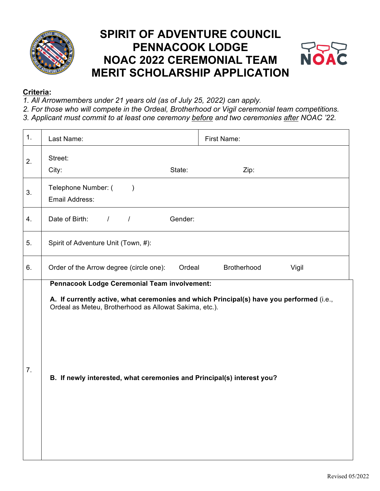

## **SPIRIT OF ADVENTURE COUNCIL PENNACOOK LODGE NOAC 2022 CEREMONIAL TEAM MERIT SCHOLARSHIP APPLICATION**



## **Criteria:**

- *1. All Arrowmembers under 21 years old (as of July 25, 2022) can apply.*
- *2. For those who will compete in the Ordeal, Brotherhood or Vigil ceremonial team competitions. 3. Applicant must commit to at least one ceremony before and two ceremonies after NOAC '22.*

| 1. | Last Name:                                                                                                                                                                       |         | First Name:                                                                              |  |
|----|----------------------------------------------------------------------------------------------------------------------------------------------------------------------------------|---------|------------------------------------------------------------------------------------------|--|
| 2. | Street:<br>City:                                                                                                                                                                 | State:  | Zip:                                                                                     |  |
| 3. | Telephone Number: (<br>$\lambda$<br>Email Address:                                                                                                                               |         |                                                                                          |  |
| 4. | Date of Birth:<br>$\prime$<br>$\overline{I}$                                                                                                                                     | Gender: |                                                                                          |  |
| 5. | Spirit of Adventure Unit (Town, #):                                                                                                                                              |         |                                                                                          |  |
| 6. | Order of the Arrow degree (circle one):                                                                                                                                          | Ordeal  | Brotherhood<br>Vigil                                                                     |  |
| 7. | Pennacook Lodge Ceremonial Team involvement:<br>Ordeal as Meteu, Brotherhood as Allowat Sakima, etc.).<br>B. If newly interested, what ceremonies and Principal(s) interest you? |         | A. If currently active, what ceremonies and which Principal(s) have you performed (i.e., |  |